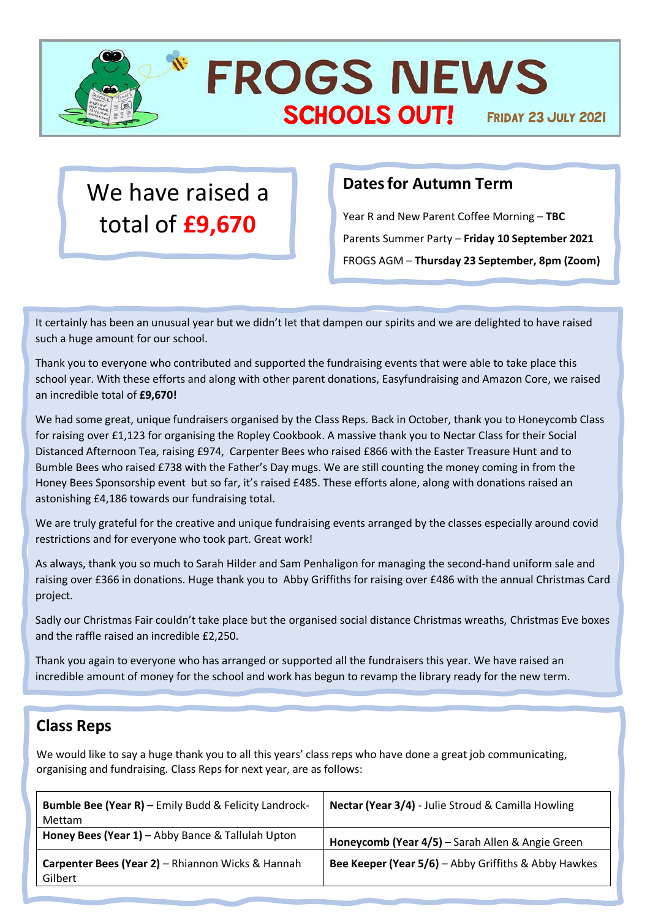

**FROGS NEWS** SCHOOLS OUT! FRIDAY 23 JULY 2021

## We have raised a total of **£9,670**

## **Dates for Autumn Term**

Year R and New Parent Coffee Morning – **TBC** Parents Summer Party – **Friday 10 September 2021** FROGS AGM – **Thursday 23 September, 8pm (Zoom)**

It certainly has been an unusual year but we didn't let that dampen our spirits and we are delighted to have raised such a huge amount for our school.

Thank you to everyone who contributed and supported the fundraising events that were able to take place this school year. With these efforts and along with other parent donations, Easyfundraising and Amazon Core, we raised an incredible total of **£9,670!**

We had some great, unique fundraisers organised by the Class Reps. Back in October, thank you to Honeycomb Class for raising over £1,123 for organising the Ropley Cookbook. A massive thank you to Nectar Class for their Social Distanced Afternoon Tea, raising £974, Carpenter Bees who raised £866 with the Easter Treasure Hunt and to Bumble Bees who raised £738 with the Father's Day mugs. We are still counting the money coming in from the Honey Bees Sponsorship event but so far, it's raised £485. These efforts alone, along with donations raised an astonishing £4,186 towards our fundraising total.

We are truly grateful for the creative and unique fundraising events arranged by the classes especially around covid restrictions and for everyone who took part. Great work!

As always, thank you so much to Sarah Hilder and Sam Penhaligon for managing the second-hand uniform sale and raising over £366 in donations. Huge thank you to Abby Griffiths for raising over £486 with the annual Christmas Card project.

Sadly our Christmas Fair couldn't take place but the organised social distance Christmas wreaths, Christmas Eve boxes and the raffle raised an incredible £2,250.

Thank you again to everyone who has arranged or supported all the fundraisers this year. We have raised an incredible amount of money for the school and work has begun to revamp the library ready for the new term.

## **Class Reps**

We would like to say a huge thank you to all this years' class reps who have done a great job communicating, organising and fundraising. Class Reps for next year, are as follows:

| <b>Bumble Bee (Year R)</b> - Emily Budd & Felicity Landrock-<br><b>Mettam</b> | Nectar (Year 3/4) - Julie Stroud & Camilla Howling          |
|-------------------------------------------------------------------------------|-------------------------------------------------------------|
| Honey Bees (Year 1) - Abby Bance & Tallulah Upton                             | Honeycomb (Year 4/5) - Sarah Allen & Angie Green            |
| Carpenter Bees (Year 2) - Rhiannon Wicks & Hannah<br>Gilbert                  | <b>Bee Keeper (Year 5/6)</b> - Abby Griffiths & Abby Hawkes |